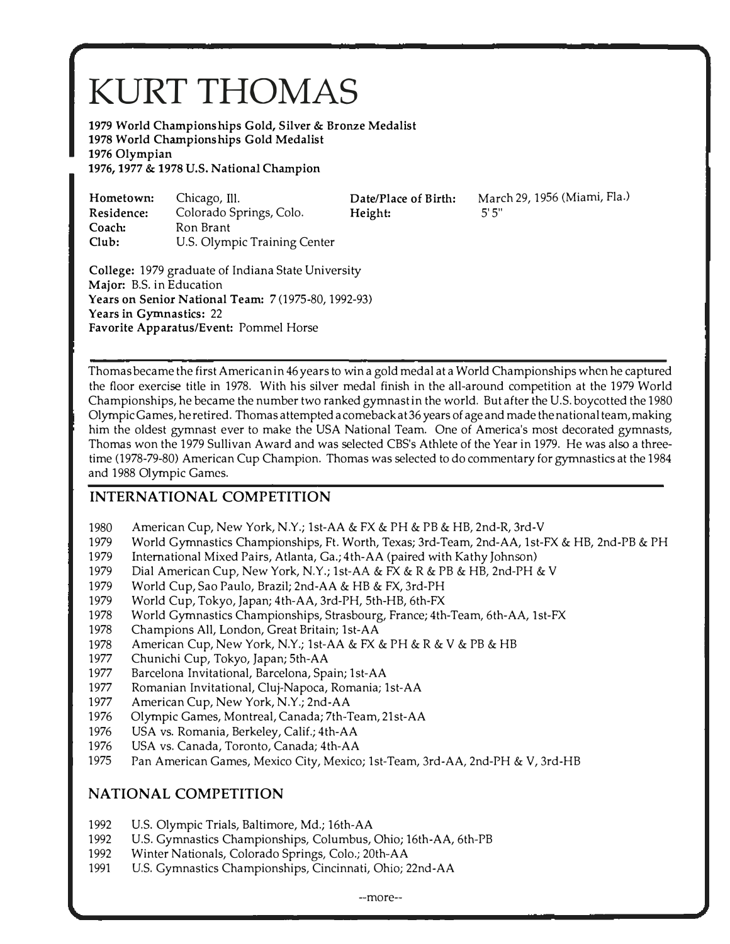## KURT THOMAS

**1979 World Championships Gold, Silver & Bronze Medalist 1978 World Championships Gold Medalist 1976 Olympian 1976, 1977 & 1978 U.S. National Champion**

| Hometown:  | Chicago, Ill.                | Date/Place of Birth: | March 29, 1956 (Miami, Fla.) |
|------------|------------------------------|----------------------|------------------------------|
| Residence: | Colorado Springs, Colo.      | Height:              | 5'5''                        |
| Coach:     | Ron Brant                    |                      |                              |
| Club:      | U.S. Olympic Training Center |                      |                              |

**College:** 1979 graduate of Indiana State University **Major:** B.S. in Education **Years on Senior National Team: 7** (1975-80, 1992-93) **Years in Gymnastics:** 22 **Favorite Apparatus/Event:** Pommel Horse

Thomas became the first American in 46 years to win a gold medal at a World Championships when he captured the floor exercise title in 1978. With his silver medal finish in the all-around competition at the 1979 World Championships, he became the number two ranked gymnast in the world. But after the U.S. boycotted the 1980 Olympic Games, he retired. Thomas attempted a comeback at 36 years of age and made the national team, making him the oldest gymnast ever to make the USA National Team. One of America's most decorated gymnasts, Thomas won the 1979 Sullivan Award and was selected CBS's Athlete of the Year in 1979. He was also a threetime (1978-79-80) American Cup Champion. Thomas was selected to do commentary for gymnastics at the 1984 and 1988 Olympic Games.

## **INTERNATIONAL COMPETITION**

- 1980 American Cup, New York, N.Y.; 1st-AA & FX & PH & PB & HB, 2nd-R, 3rd-V
- 1979 World Gymnastics Championships, Ft. Worth, Texas; 3rd-Team, 2nd-AA, 1st-FX & HB, 2nd-PB & PH
- 1979 International Mixed Pairs, Atlanta, Ga.; 4th-AA (paired with Kathy Johnson)
- 1979 Dial American Cup, New York, N.Y.; 1st-AA & FX & R & PB & HB, 2nd-PH & V
- 1979 World Cup, Sao Paulo, Brazil; 2nd-AA & HB & FX, 3rd-PH
- 1979 World Cup, Tokyo, Japan; 4th-AA, 3rd-PH, 5th-HB, 6th-FX
- 1978 World Gymnastics Championships, Strasbourg, France; 4th-Team, 6th-AA, lst-FX
- 1978 Champions All, London, Great Britain; 1st-AA
- 1978 American Cup, New York, N.Y.; 1st-AA & FX & PH & R & V & PB & HB
- 1977 Chunichi Cup, Tokyo, Japan; 5th-AA
- 1977 Barcelona Invitational, Barcelona, Spain; 1st-AA
- 1977 Romanian Invitational, Cluj-Napoca, Romania; 1st-AA
- 1977 American Cup, New York, N.Y.; 2nd-AA
- 1976 Olympic Games, Montreal, Canada; 7th-Team, 21st-AA
- 1976 USA vs. Romania, Berkeley, Calif.; 4th-AA
- 1976 USA vs. Canada, Toronto, Canada; 4th-AA
- 1975 Pan American Games, Mexico City, Mexico; 1st-Team, 3rd-AA, 2nd-PH & V, 3rd-HB

## **NATIONAL COMPETITION**

- 1992 U.S. Olympic Trials, Baltimore, Md.; 16th-AA
- 1992 U.S. Gymnastics Championships, Columbus, Ohio; 16th-AA, 6th-PB
- 1992 Winter Nationals, Colorado Springs, Colo.; 20th-AA
- 1991 U.S. Gymnastics Championships, Cincinnati, Ohio; 22nd-AA